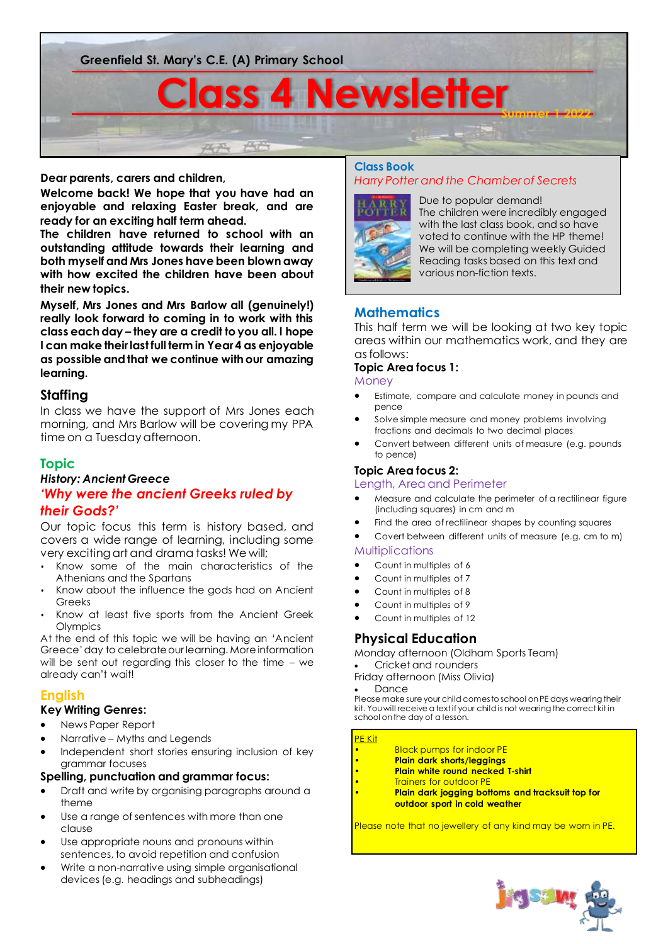

**Dear parents, carers and children,**

**Welcome back! We hope that you have had an enjoyable and relaxing Easter break, and are ready for an exciting half term ahead.** 

**The children have returned to school with an outstanding attitude towards their learning and both myself and Mrs Jones have been blown away with how excited the children have been about their new topics.** 

**Myself, Mrs Jones and Mrs Barlow all (genuinely!) really look forward to coming in to work with this class each day – they are a credit to you all. I hope I can make their last full term in Year 4 as enjoyable as possible and that we continue with our amazing learning.** 

# **Staffing**

In class we have the support of Mrs Jones each morning, and Mrs Barlow will be covering my PPA time on a Tuesday afternoon.

# **Topic**

## *History: Ancient Greece 'Why were the ancient Greeks ruled by their Gods?'*

Our topic focus this term is history based, and covers a wide range of learning, including some very exciting art and drama tasks! We will;

- Know some of the main characteristics of the Athenians and the Spartans
- Know about the influence the gods had on Ancient Greeks
- Know at least five sports from the Ancient Greek **Olympics**

At the end of this topic we will be having an 'Ancient Greece' day to celebrate our learning. More information will be sent out regarding this closer to the time – we already can't wait!

# **English**

# **Key Writing Genres:**

- News Paper Report
- Narrative Myths and Legends
- Independent short stories ensuring inclusion of key grammar focuses

### **Spelling, punctuation and grammar focus:**

- Draft and write by organising paragraphs around a theme
- Use a range of sentences with more than one clause
- Use appropriate nouns and pronouns within sentences, to avoid repetition and confusion
- Write a non-narrative using simple organisational devices (e.g. headings and subheadings)

### **Class Book** *Harry Potter and the Chamber of Secrets*



Due to popular demand! The children were incredibly engaged with the last class book, and so have voted to continue with the HP theme! We will be completing weekly Guided Reading tasks based on this text and various non-fiction texts.

# **Mathematics**

This half term we will be looking at two key topic areas within our mathematics work, and they are as follows:

## **Topic Area focus 1:**

**Money** 

- Estimate, compare and calculate money in pounds and pence
- Solve simple measure and money problems involving fractions and decimals to two decimal places
- Convert between different units of measure (e.g. pounds to pence)

## **Topic Area focus 2:**

Length, Area and Perimeter

- Measure and calculate the perimeter of a rectilinear figure (including squares) in cm and m
- Find the area of rectilinear shapes by counting squares
- Covert between different units of measure (e.g. cm to m) Multiplications

• Count in multiples of 6

- Count in multiples of 7
- Count in multiples of 8
- Count in multiples of 9
- Count in multiples of 12

# **Physical Education**

Monday afternoon (Oldham Sports Team)

• Cricket and rounders Friday afternoon (Miss Olivia)

**Dance** 

Please make sure your child comes to school on PE days wearing their kit. You will receive a text if your child is not wearing the correct kit in school on the day of a lesson.

### <mark>PE Kit</mark>

- **Black pumps for indoor PE**
- **Plain dark shorts/leggings**
- **Plain white round necked T-shirt**
- Trainers for outdoor PE
- **Plain dark jogging bottoms and tracksuit top for outdoor sport in cold weather**

Please note that no jewellery of any kind may be worn in PE.